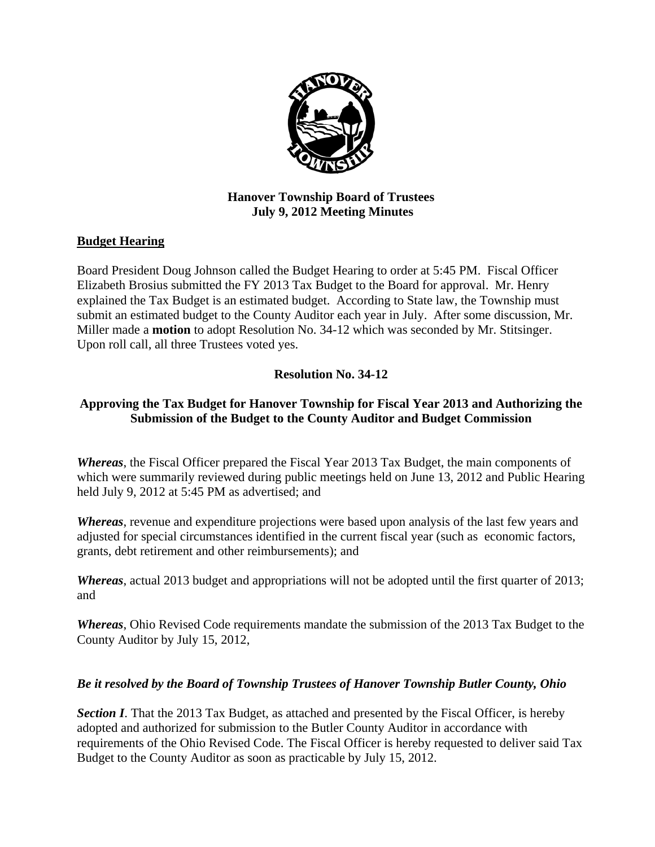

# **Hanover Township Board of Trustees July 9, 2012 Meeting Minutes**

# **Budget Hearing**

Board President Doug Johnson called the Budget Hearing to order at 5:45 PM. Fiscal Officer Elizabeth Brosius submitted the FY 2013 Tax Budget to the Board for approval. Mr. Henry explained the Tax Budget is an estimated budget. According to State law, the Township must submit an estimated budget to the County Auditor each year in July. After some discussion, Mr. Miller made a **motion** to adopt Resolution No. 34-12 which was seconded by Mr. Stitsinger. Upon roll call, all three Trustees voted yes.

# **Resolution No. 34-12**

# **Approving the Tax Budget for Hanover Township for Fiscal Year 2013 and Authorizing the Submission of the Budget to the County Auditor and Budget Commission**

*Whereas*, the Fiscal Officer prepared the Fiscal Year 2013 Tax Budget, the main components of which were summarily reviewed during public meetings held on June 13, 2012 and Public Hearing held July 9, 2012 at 5:45 PM as advertised; and

*Whereas*, revenue and expenditure projections were based upon analysis of the last few years and adjusted for special circumstances identified in the current fiscal year (such as economic factors, grants, debt retirement and other reimbursements); and

*Whereas*, actual 2013 budget and appropriations will not be adopted until the first quarter of 2013; and

*Whereas*, Ohio Revised Code requirements mandate the submission of the 2013 Tax Budget to the County Auditor by July 15, 2012,

## *Be it resolved by the Board of Township Trustees of Hanover Township Butler County, Ohio*

**Section I**. That the 2013 Tax Budget, as attached and presented by the Fiscal Officer, is hereby adopted and authorized for submission to the Butler County Auditor in accordance with requirements of the Ohio Revised Code. The Fiscal Officer is hereby requested to deliver said Tax Budget to the County Auditor as soon as practicable by July 15, 2012.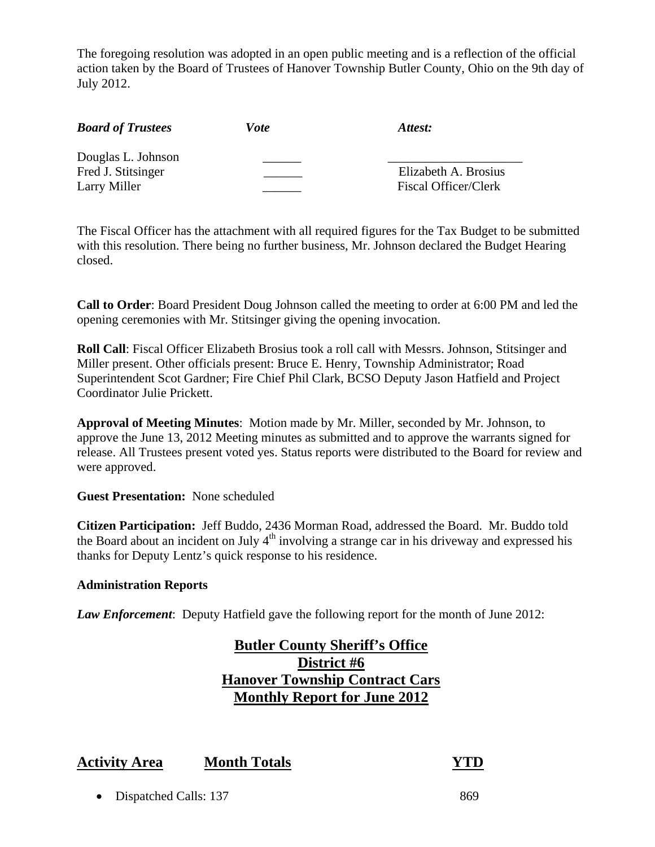The foregoing resolution was adopted in an open public meeting and is a reflection of the official action taken by the Board of Trustees of Hanover Township Butler County, Ohio on the 9th day of July 2012.

| <b>Board of Trustees</b>                                 | Vote | Attest:                                             |
|----------------------------------------------------------|------|-----------------------------------------------------|
| Douglas L. Johnson<br>Fred J. Stitsinger<br>Larry Miller |      | Elizabeth A. Brosius<br><b>Fiscal Officer/Clerk</b> |

The Fiscal Officer has the attachment with all required figures for the Tax Budget to be submitted with this resolution. There being no further business, Mr. Johnson declared the Budget Hearing closed.

**Call to Order**: Board President Doug Johnson called the meeting to order at 6:00 PM and led the opening ceremonies with Mr. Stitsinger giving the opening invocation.

**Roll Call**: Fiscal Officer Elizabeth Brosius took a roll call with Messrs. Johnson, Stitsinger and Miller present. Other officials present: Bruce E. Henry, Township Administrator; Road Superintendent Scot Gardner; Fire Chief Phil Clark, BCSO Deputy Jason Hatfield and Project Coordinator Julie Prickett.

**Approval of Meeting Minutes**: Motion made by Mr. Miller, seconded by Mr. Johnson, to approve the June 13, 2012 Meeting minutes as submitted and to approve the warrants signed for release. All Trustees present voted yes. Status reports were distributed to the Board for review and were approved.

#### **Guest Presentation:** None scheduled

**Citizen Participation:** Jeff Buddo, 2436 Morman Road, addressed the Board. Mr. Buddo told the Board about an incident on July  $4<sup>th</sup>$  involving a strange car in his driveway and expressed his thanks for Deputy Lentz's quick response to his residence.

#### **Administration Reports**

*Law Enforcement*: Deputy Hatfield gave the following report for the month of June 2012:

# **Butler County Sheriff's Office District #6 Hanover Township Contract Cars Monthly Report for June 2012**

# **Activity Area Month Totals YTD**

• Dispatched Calls: 137 869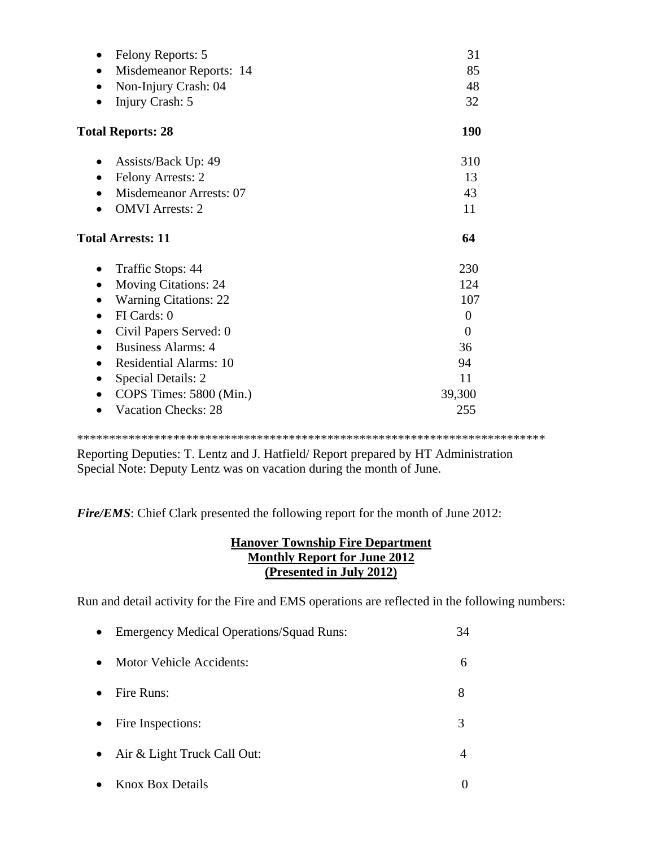| Felony Reports: 5<br>$\bullet$             | 31             |
|--------------------------------------------|----------------|
| Misdemeanor Reports: 14                    | 85             |
| Non-Injury Crash: 04<br>$\bullet$          | 48             |
| Injury Crash: 5                            | 32             |
| <b>Total Reports: 28</b>                   | 190            |
| Assists/Back Up: 49                        | 310            |
| <b>Felony Arrests: 2</b>                   | 13             |
| <b>Misdemeanor Arrests: 07</b>             | 43             |
| <b>OMVI</b> Arrests: 2                     | 11             |
| <b>Total Arrests: 11</b>                   | 64             |
|                                            |                |
| Traffic Stops: 44                          | 230            |
| <b>Moving Citations: 24</b><br>$\bullet$   | 124            |
| <b>Warning Citations: 22</b>               | 107            |
| FI Cards: 0                                | $\overline{0}$ |
| Civil Papers Served: 0                     | $\Omega$       |
| <b>Business Alarms: 4</b>                  | 36             |
| <b>Residential Alarms: 10</b><br>$\bullet$ | 94             |
| Special Details: 2                         | 11             |
| COPS Times: 5800 (Min.)                    | 39,300         |

\*\*\*\*\*\*\*\*\*\*\*\*\*\*\*\*\*\*\*\*\*\*\*\*\*\*\*\*\*\*\*\*\*\*\*\*\*\*\*\*\*\*\*\*\*\*\*\*\*\*\*\*\*\*\*\*\*\*\*\*\*\*\*\*\*\*\*\*\*\*\*\*\*

Reporting Deputies: T. Lentz and J. Hatfield/ Report prepared by HT Administration Special Note: Deputy Lentz was on vacation during the month of June.

*Fire/EMS*: Chief Clark presented the following report for the month of June 2012:

#### **Hanover Township Fire Department Monthly Report for June 2012 (Presented in July 2012)**

Run and detail activity for the Fire and EMS operations are reflected in the following numbers:

| $\bullet$ | <b>Emergency Medical Operations/Squad Runs:</b> | 34 |
|-----------|-------------------------------------------------|----|
| $\bullet$ | Motor Vehicle Accidents:                        | 6  |
|           | Fire Runs:                                      | 8  |
| $\bullet$ | Fire Inspections:                               | 3  |
| $\bullet$ | Air & Light Truck Call Out:                     |    |
|           | <b>Knox Box Details</b>                         |    |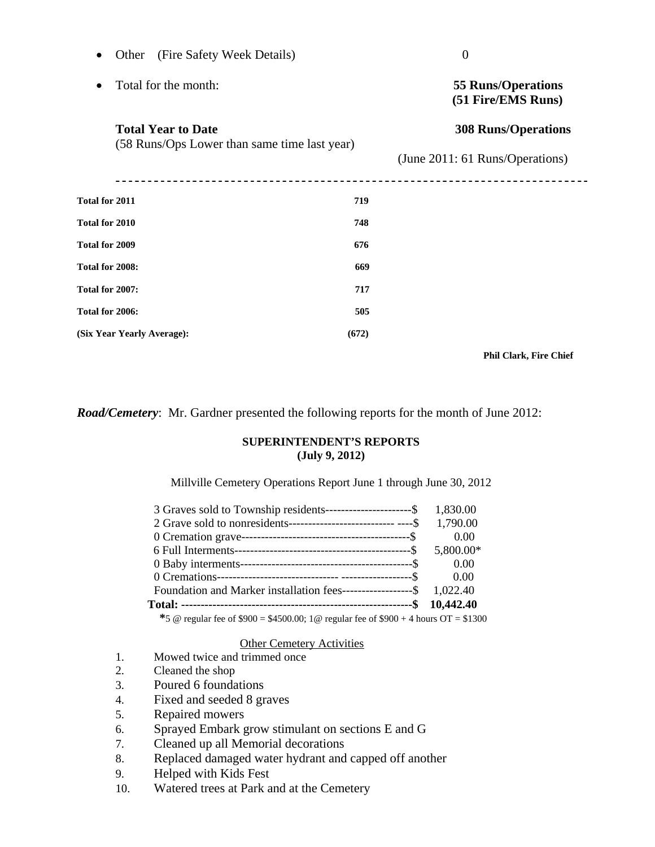| Other (Fire Safety Week Details)<br>$\bullet$                             |       | $\overline{0}$                                                |  |
|---------------------------------------------------------------------------|-------|---------------------------------------------------------------|--|
| Total for the month:                                                      |       | <b>55 Runs/Operations</b><br>(51 Fire/EMS Runs)               |  |
| <b>Total Year to Date</b><br>(58 Runs/Ops Lower than same time last year) |       | <b>308 Runs/Operations</b><br>(June 2011: 61 Runs/Operations) |  |
|                                                                           |       |                                                               |  |
| Total for 2010                                                            | 748   |                                                               |  |
| Total for 2009                                                            | 676   |                                                               |  |
| Total for 2008:                                                           | 669   |                                                               |  |
| Total for 2007:                                                           | 717   |                                                               |  |
| Total for 2006:                                                           | 505   |                                                               |  |
| (Six Year Yearly Average):                                                | (672) |                                                               |  |
|                                                                           |       |                                                               |  |

 **Phil Clark, Fire Chief** 

*Road/Cemetery*: Mr. Gardner presented the following reports for the month of June 2012:

#### **SUPERINTENDENT'S REPORTS (July 9, 2012)**

#### Millville Cemetery Operations Report June 1 through June 30, 2012

| 3 Graves sold to Township residents-----------------------\$ 1,830.00    |           |
|--------------------------------------------------------------------------|-----------|
| 2 Grave sold to nonresidents---------------------------------\$ 1,790.00 |           |
|                                                                          | 0.00      |
|                                                                          | 5,800.00* |
|                                                                          | 0.00      |
|                                                                          | 0.00      |
| Foundation and Marker installation fees------------------\$ 1,022.40     |           |
|                                                                          |           |
|                                                                          |           |

 **\***5 @ regular fee of \$900 = \$4500.00; 1@ regular fee of \$900 + 4 hours OT = \$1300

#### Other Cemetery Activities

- 1. Mowed twice and trimmed once
- 2. Cleaned the shop
- 3. Poured 6 foundations
- 4. Fixed and seeded 8 graves
- 5. Repaired mowers
- 6. Sprayed Embark grow stimulant on sections E and G
- 7. Cleaned up all Memorial decorations
- 8. Replaced damaged water hydrant and capped off another
- 9. Helped with Kids Fest
- 10. Watered trees at Park and at the Cemetery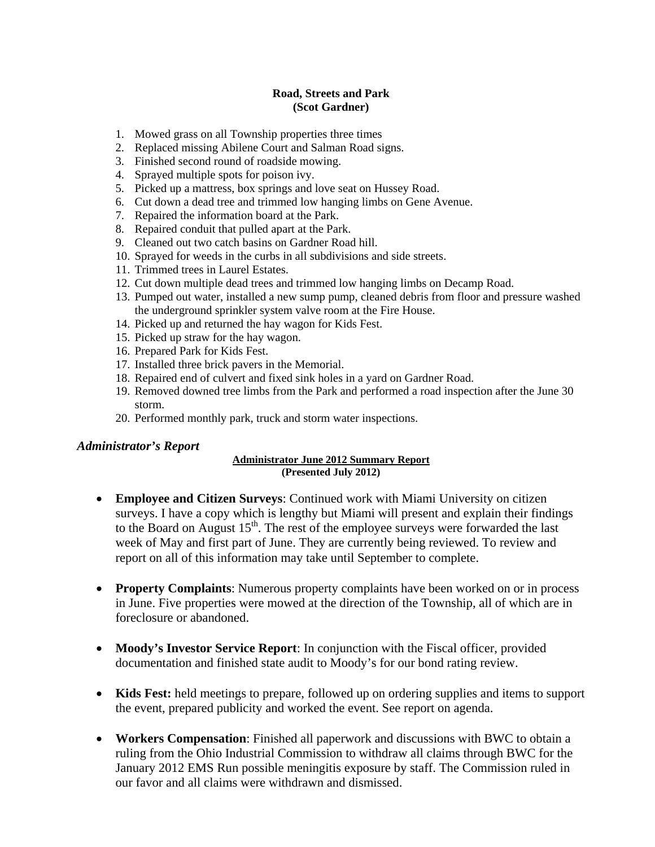#### **Road, Streets and Park (Scot Gardner)**

- 1. Mowed grass on all Township properties three times
- 2. Replaced missing Abilene Court and Salman Road signs.
- 3. Finished second round of roadside mowing.
- 4. Sprayed multiple spots for poison ivy.
- 5. Picked up a mattress, box springs and love seat on Hussey Road.
- 6. Cut down a dead tree and trimmed low hanging limbs on Gene Avenue.
- 7. Repaired the information board at the Park.
- 8. Repaired conduit that pulled apart at the Park.
- 9. Cleaned out two catch basins on Gardner Road hill.
- 10. Sprayed for weeds in the curbs in all subdivisions and side streets.
- 11. Trimmed trees in Laurel Estates.
- 12. Cut down multiple dead trees and trimmed low hanging limbs on Decamp Road.
- 13. Pumped out water, installed a new sump pump, cleaned debris from floor and pressure washed the underground sprinkler system valve room at the Fire House.
- 14. Picked up and returned the hay wagon for Kids Fest.
- 15. Picked up straw for the hay wagon.
- 16. Prepared Park for Kids Fest.
- 17. Installed three brick pavers in the Memorial.
- 18. Repaired end of culvert and fixed sink holes in a yard on Gardner Road.
- 19. Removed downed tree limbs from the Park and performed a road inspection after the June 30 storm.
- 20. Performed monthly park, truck and storm water inspections.

#### *Administrator's Report*

#### **Administrator June 2012 Summary Report (Presented July 2012)**

- **Employee and Citizen Surveys**: Continued work with Miami University on citizen surveys. I have a copy which is lengthy but Miami will present and explain their findings to the Board on August  $15<sup>th</sup>$ . The rest of the employee surveys were forwarded the last week of May and first part of June. They are currently being reviewed. To review and report on all of this information may take until September to complete.
- **Property Complaints**: Numerous property complaints have been worked on or in process in June. Five properties were mowed at the direction of the Township, all of which are in foreclosure or abandoned.
- **Moody's Investor Service Report**: In conjunction with the Fiscal officer, provided documentation and finished state audit to Moody's for our bond rating review.
- **Kids Fest:** held meetings to prepare, followed up on ordering supplies and items to support the event, prepared publicity and worked the event. See report on agenda.
- **Workers Compensation**: Finished all paperwork and discussions with BWC to obtain a ruling from the Ohio Industrial Commission to withdraw all claims through BWC for the January 2012 EMS Run possible meningitis exposure by staff. The Commission ruled in our favor and all claims were withdrawn and dismissed.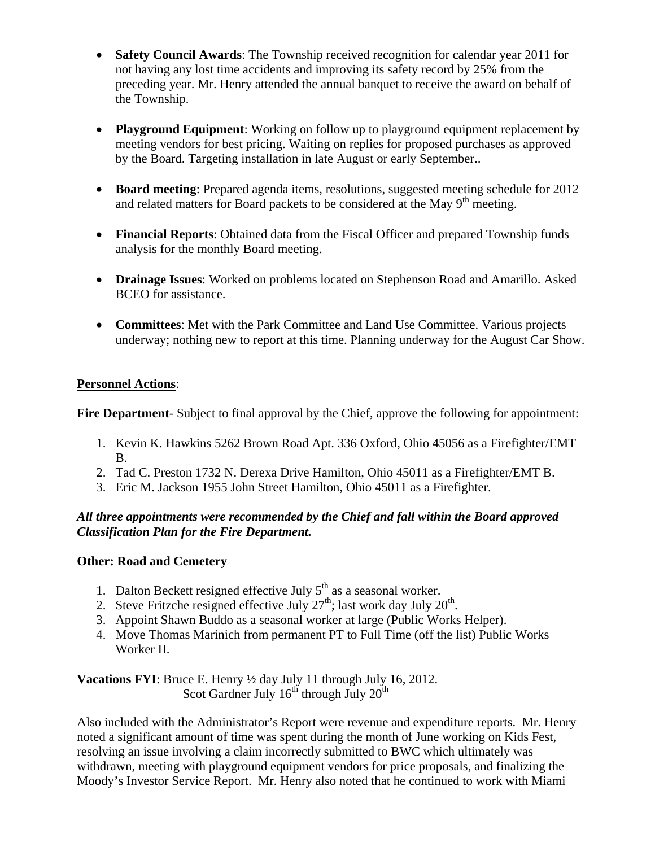- **Safety Council Awards**: The Township received recognition for calendar year 2011 for not having any lost time accidents and improving its safety record by 25% from the preceding year. Mr. Henry attended the annual banquet to receive the award on behalf of the Township.
- **Playground Equipment**: Working on follow up to playground equipment replacement by meeting vendors for best pricing. Waiting on replies for proposed purchases as approved by the Board. Targeting installation in late August or early September..
- **Board meeting**: Prepared agenda items, resolutions, suggested meeting schedule for 2012 and related matters for Board packets to be considered at the May  $9<sup>th</sup>$  meeting.
- **Financial Reports**: Obtained data from the Fiscal Officer and prepared Township funds analysis for the monthly Board meeting.
- **Drainage Issues**: Worked on problems located on Stephenson Road and Amarillo. Asked BCEO for assistance.
- **Committees**: Met with the Park Committee and Land Use Committee. Various projects underway; nothing new to report at this time. Planning underway for the August Car Show.

# **Personnel Actions**:

**Fire Department**- Subject to final approval by the Chief, approve the following for appointment:

- 1. Kevin K. Hawkins 5262 Brown Road Apt. 336 Oxford, Ohio 45056 as a Firefighter/EMT B.
- 2. Tad C. Preston 1732 N. Derexa Drive Hamilton, Ohio 45011 as a Firefighter/EMT B.
- 3. Eric M. Jackson 1955 John Street Hamilton, Ohio 45011 as a Firefighter.

## *All three appointments were recommended by the Chief and fall within the Board approved Classification Plan for the Fire Department.*

## **Other: Road and Cemetery**

- 1. Dalton Beckett resigned effective July  $5<sup>th</sup>$  as a seasonal worker.
- 2. Steve Fritzche resigned effective July  $27<sup>th</sup>$ ; last work day July  $20<sup>th</sup>$ .
- 3. Appoint Shawn Buddo as a seasonal worker at large (Public Works Helper).
- 4. Move Thomas Marinich from permanent PT to Full Time (off the list) Public Works Worker II.

**Vacations FYI**: Bruce E. Henry ½ day July 11 through July 16, 2012. Scot Gardner July  $16^{th}$  through July  $20^{th}$ 

Also included with the Administrator's Report were revenue and expenditure reports. Mr. Henry noted a significant amount of time was spent during the month of June working on Kids Fest, resolving an issue involving a claim incorrectly submitted to BWC which ultimately was withdrawn, meeting with playground equipment vendors for price proposals, and finalizing the Moody's Investor Service Report. Mr. Henry also noted that he continued to work with Miami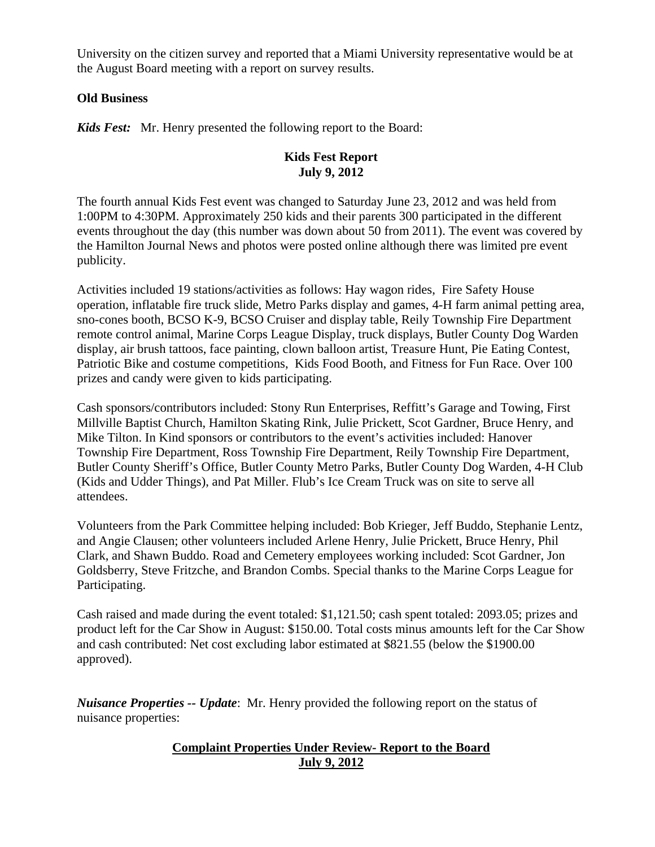University on the citizen survey and reported that a Miami University representative would be at the August Board meeting with a report on survey results.

#### **Old Business**

*Kids Fest:* Mr. Henry presented the following report to the Board:

# **Kids Fest Report July 9, 2012**

The fourth annual Kids Fest event was changed to Saturday June 23, 2012 and was held from 1:00PM to 4:30PM. Approximately 250 kids and their parents 300 participated in the different events throughout the day (this number was down about 50 from 2011). The event was covered by the Hamilton Journal News and photos were posted online although there was limited pre event publicity.

Activities included 19 stations/activities as follows: Hay wagon rides, Fire Safety House operation, inflatable fire truck slide, Metro Parks display and games, 4-H farm animal petting area, sno-cones booth, BCSO K-9, BCSO Cruiser and display table, Reily Township Fire Department remote control animal, Marine Corps League Display, truck displays, Butler County Dog Warden display, air brush tattoos, face painting, clown balloon artist, Treasure Hunt, Pie Eating Contest, Patriotic Bike and costume competitions, Kids Food Booth, and Fitness for Fun Race. Over 100 prizes and candy were given to kids participating.

Cash sponsors/contributors included: Stony Run Enterprises, Reffitt's Garage and Towing, First Millville Baptist Church, Hamilton Skating Rink, Julie Prickett, Scot Gardner, Bruce Henry, and Mike Tilton. In Kind sponsors or contributors to the event's activities included: Hanover Township Fire Department, Ross Township Fire Department, Reily Township Fire Department, Butler County Sheriff's Office, Butler County Metro Parks, Butler County Dog Warden, 4-H Club (Kids and Udder Things), and Pat Miller. Flub's Ice Cream Truck was on site to serve all attendees.

Volunteers from the Park Committee helping included: Bob Krieger, Jeff Buddo, Stephanie Lentz, and Angie Clausen; other volunteers included Arlene Henry, Julie Prickett, Bruce Henry, Phil Clark, and Shawn Buddo. Road and Cemetery employees working included: Scot Gardner, Jon Goldsberry, Steve Fritzche, and Brandon Combs. Special thanks to the Marine Corps League for Participating.

Cash raised and made during the event totaled: \$1,121.50; cash spent totaled: 2093.05; prizes and product left for the Car Show in August: \$150.00. Total costs minus amounts left for the Car Show and cash contributed: Net cost excluding labor estimated at \$821.55 (below the \$1900.00 approved).

*Nuisance Properties -- Update*: Mr. Henry provided the following report on the status of nuisance properties:

# **Complaint Properties Under Review- Report to the Board July 9, 2012**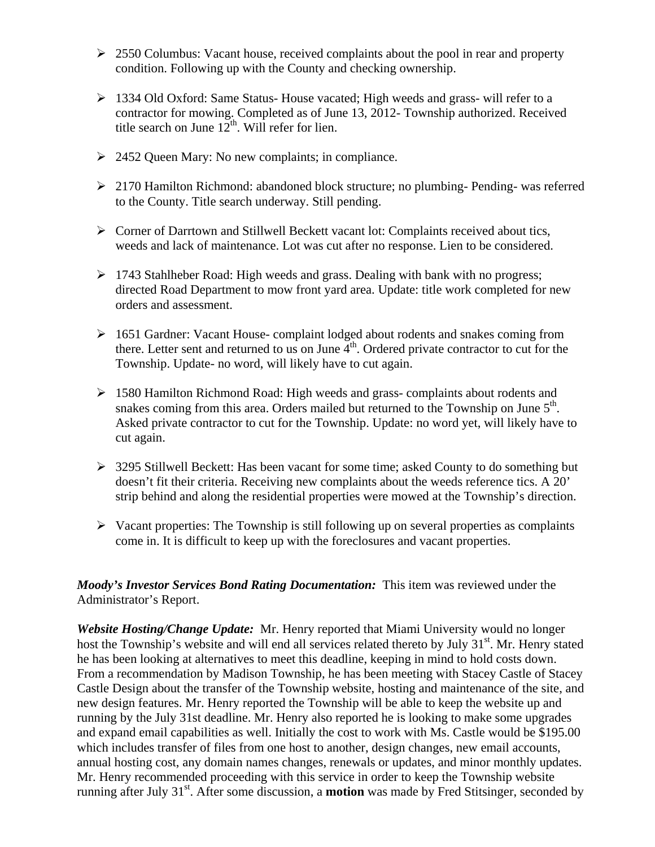- $\geq 2550$  Columbus: Vacant house, received complaints about the pool in rear and property condition. Following up with the County and checking ownership.
- $\geq 1334$  Old Oxford: Same Status-House vacated; High weeds and grass- will refer to a contractor for mowing. Completed as of June 13, 2012- Township authorized. Received title search on June  $12^{th}$ . Will refer for lien.
- $\geq$  2452 Queen Mary: No new complaints; in compliance.
- 2170 Hamilton Richmond: abandoned block structure; no plumbing- Pending- was referred to the County. Title search underway. Still pending.
- Corner of Darrtown and Stillwell Beckett vacant lot: Complaints received about tics, weeds and lack of maintenance. Lot was cut after no response. Lien to be considered.
- 1743 Stahlheber Road: High weeds and grass. Dealing with bank with no progress; directed Road Department to mow front yard area. Update: title work completed for new orders and assessment.
- 1651 Gardner: Vacant House- complaint lodged about rodents and snakes coming from there. Letter sent and returned to us on June  $4<sup>th</sup>$ . Ordered private contractor to cut for the Township. Update- no word, will likely have to cut again.
- $\geq 1580$  Hamilton Richmond Road: High weeds and grass- complaints about rodents and snakes coming from this area. Orders mailed but returned to the Township on June  $5<sup>th</sup>$ . Asked private contractor to cut for the Township. Update: no word yet, will likely have to cut again.
- $\geq$  3295 Stillwell Beckett: Has been vacant for some time; asked County to do something but doesn't fit their criteria. Receiving new complaints about the weeds reference tics. A 20' strip behind and along the residential properties were mowed at the Township's direction.
- $\triangleright$  Vacant properties: The Township is still following up on several properties as complaints come in. It is difficult to keep up with the foreclosures and vacant properties.

## *Moody's Investor Services Bond Rating Documentation:* This item was reviewed under the Administrator's Report.

*Website Hosting/Change Update:* Mr. Henry reported that Miami University would no longer host the Township's website and will end all services related thereto by July  $31<sup>st</sup>$ . Mr. Henry stated he has been looking at alternatives to meet this deadline, keeping in mind to hold costs down. From a recommendation by Madison Township, he has been meeting with Stacey Castle of Stacey Castle Design about the transfer of the Township website, hosting and maintenance of the site, and new design features. Mr. Henry reported the Township will be able to keep the website up and running by the July 31st deadline. Mr. Henry also reported he is looking to make some upgrades and expand email capabilities as well. Initially the cost to work with Ms. Castle would be \$195.00 which includes transfer of files from one host to another, design changes, new email accounts, annual hosting cost, any domain names changes, renewals or updates, and minor monthly updates. Mr. Henry recommended proceeding with this service in order to keep the Township website running after July 31<sup>st</sup>. After some discussion, a **motion** was made by Fred Stitsinger, seconded by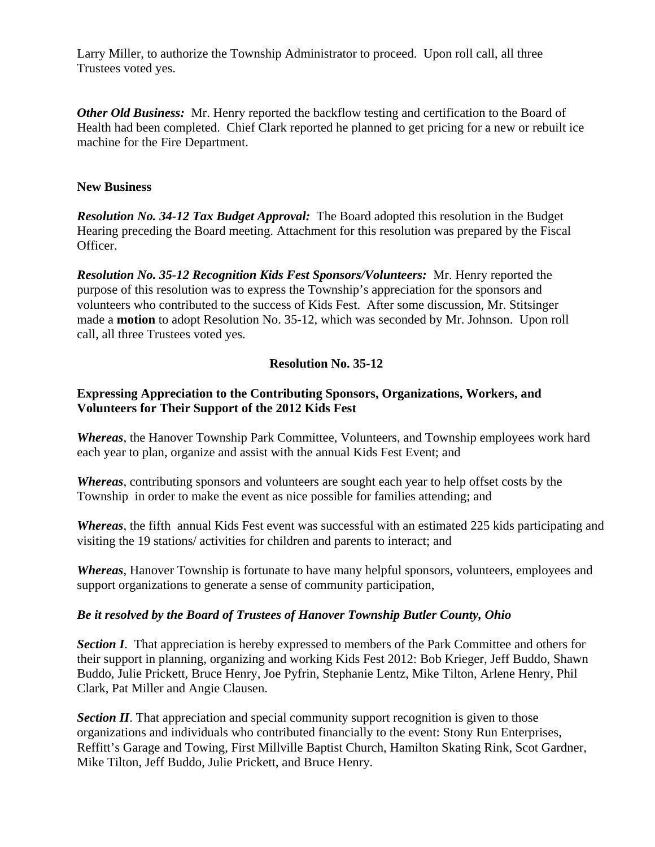Larry Miller, to authorize the Township Administrator to proceed. Upon roll call, all three Trustees voted yes.

*Other Old Business:* Mr. Henry reported the backflow testing and certification to the Board of Health had been completed. Chief Clark reported he planned to get pricing for a new or rebuilt ice machine for the Fire Department.

#### **New Business**

*Resolution No. 34-12 Tax Budget Approval:* The Board adopted this resolution in the Budget Hearing preceding the Board meeting. Attachment for this resolution was prepared by the Fiscal Officer.

*Resolution No. 35-12 Recognition Kids Fest Sponsors/Volunteers:* Mr. Henry reported the purpose of this resolution was to express the Township's appreciation for the sponsors and volunteers who contributed to the success of Kids Fest. After some discussion, Mr. Stitsinger made a **motion** to adopt Resolution No. 35-12, which was seconded by Mr. Johnson. Upon roll call, all three Trustees voted yes.

#### **Resolution No. 35-12**

#### **Expressing Appreciation to the Contributing Sponsors, Organizations, Workers, and Volunteers for Their Support of the 2012 Kids Fest**

*Whereas*, the Hanover Township Park Committee, Volunteers, and Township employees work hard each year to plan, organize and assist with the annual Kids Fest Event; and

*Whereas*, contributing sponsors and volunteers are sought each year to help offset costs by the Township in order to make the event as nice possible for families attending; and

*Whereas*, the fifth annual Kids Fest event was successful with an estimated 225 kids participating and visiting the 19 stations/ activities for children and parents to interact; and

*Whereas*, Hanover Township is fortunate to have many helpful sponsors, volunteers, employees and support organizations to generate a sense of community participation,

#### *Be it resolved by the Board of Trustees of Hanover Township Butler County, Ohio*

**Section I**. That appreciation is hereby expressed to members of the Park Committee and others for their support in planning, organizing and working Kids Fest 2012: Bob Krieger, Jeff Buddo, Shawn Buddo, Julie Prickett, Bruce Henry, Joe Pyfrin, Stephanie Lentz, Mike Tilton, Arlene Henry, Phil Clark, Pat Miller and Angie Clausen.

*Section II*. That appreciation and special community support recognition is given to those organizations and individuals who contributed financially to the event: Stony Run Enterprises, Reffitt's Garage and Towing, First Millville Baptist Church, Hamilton Skating Rink, Scot Gardner, Mike Tilton, Jeff Buddo, Julie Prickett, and Bruce Henry.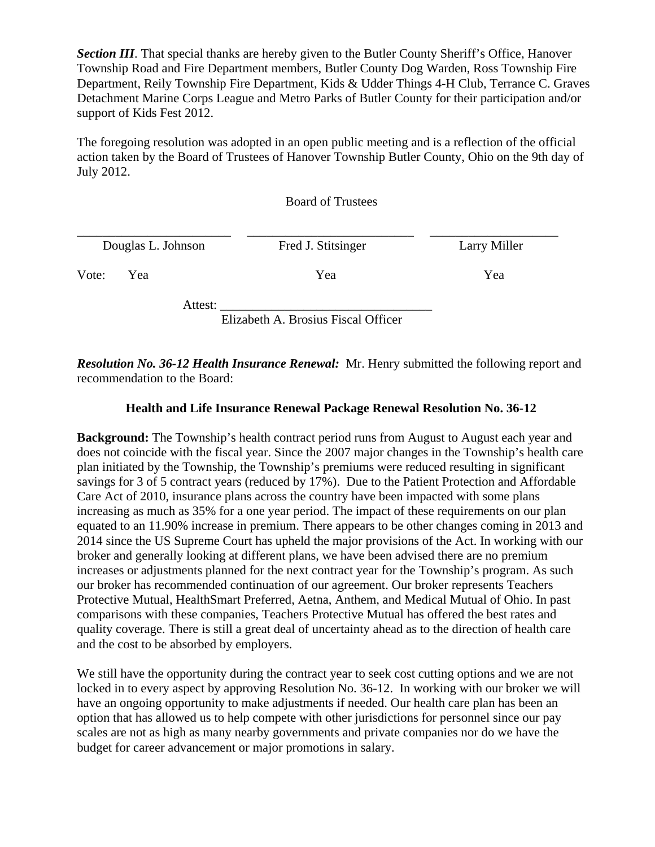*Section III*. That special thanks are hereby given to the Butler County Sheriff's Office, Hanover Township Road and Fire Department members, Butler County Dog Warden, Ross Township Fire Department, Reily Township Fire Department, Kids & Udder Things 4-H Club, Terrance C. Graves Detachment Marine Corps League and Metro Parks of Butler County for their participation and/or support of Kids Fest 2012.

The foregoing resolution was adopted in an open public meeting and is a reflection of the official action taken by the Board of Trustees of Hanover Township Butler County, Ohio on the 9th day of July 2012.

Board of Trustees

|              | Douglas L. Johnson | Fred J. Stitsinger | Larry Miller |
|--------------|--------------------|--------------------|--------------|
| Vote:<br>Yea |                    | Yea                | Yea          |
|              | Attest:            |                    |              |

Elizabeth A. Brosius Fiscal Officer

*Resolution No. 36-12 Health Insurance Renewal:* Mr. Henry submitted the following report and recommendation to the Board:

## **Health and Life Insurance Renewal Package Renewal Resolution No. 36-12**

**Background:** The Township's health contract period runs from August to August each year and does not coincide with the fiscal year. Since the 2007 major changes in the Township's health care plan initiated by the Township, the Township's premiums were reduced resulting in significant savings for 3 of 5 contract years (reduced by 17%). Due to the Patient Protection and Affordable Care Act of 2010, insurance plans across the country have been impacted with some plans increasing as much as 35% for a one year period. The impact of these requirements on our plan equated to an 11.90% increase in premium. There appears to be other changes coming in 2013 and 2014 since the US Supreme Court has upheld the major provisions of the Act. In working with our broker and generally looking at different plans, we have been advised there are no premium increases or adjustments planned for the next contract year for the Township's program. As such our broker has recommended continuation of our agreement. Our broker represents Teachers Protective Mutual, HealthSmart Preferred, Aetna, Anthem, and Medical Mutual of Ohio. In past comparisons with these companies, Teachers Protective Mutual has offered the best rates and quality coverage. There is still a great deal of uncertainty ahead as to the direction of health care and the cost to be absorbed by employers.

We still have the opportunity during the contract year to seek cost cutting options and we are not locked in to every aspect by approving Resolution No. 36-12. In working with our broker we will have an ongoing opportunity to make adjustments if needed. Our health care plan has been an option that has allowed us to help compete with other jurisdictions for personnel since our pay scales are not as high as many nearby governments and private companies nor do we have the budget for career advancement or major promotions in salary.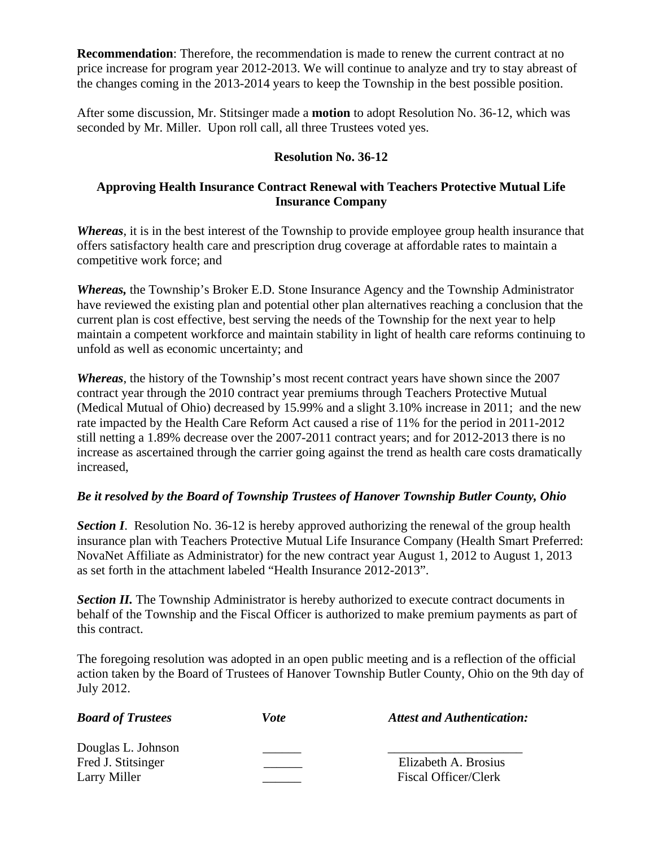**Recommendation**: Therefore, the recommendation is made to renew the current contract at no price increase for program year 2012-2013. We will continue to analyze and try to stay abreast of the changes coming in the 2013-2014 years to keep the Township in the best possible position.

After some discussion, Mr. Stitsinger made a **motion** to adopt Resolution No. 36-12, which was seconded by Mr. Miller. Upon roll call, all three Trustees voted yes.

# **Resolution No. 36-12**

## **Approving Health Insurance Contract Renewal with Teachers Protective Mutual Life Insurance Company**

*Whereas*, it is in the best interest of the Township to provide employee group health insurance that offers satisfactory health care and prescription drug coverage at affordable rates to maintain a competitive work force; and

*Whereas,* the Township's Broker E.D. Stone Insurance Agency and the Township Administrator have reviewed the existing plan and potential other plan alternatives reaching a conclusion that the current plan is cost effective, best serving the needs of the Township for the next year to help maintain a competent workforce and maintain stability in light of health care reforms continuing to unfold as well as economic uncertainty; and

*Whereas*, the history of the Township's most recent contract years have shown since the 2007 contract year through the 2010 contract year premiums through Teachers Protective Mutual (Medical Mutual of Ohio) decreased by 15.99% and a slight 3.10% increase in 2011; and the new rate impacted by the Health Care Reform Act caused a rise of 11% for the period in 2011-2012 still netting a 1.89% decrease over the 2007-2011 contract years; and for 2012-2013 there is no increase as ascertained through the carrier going against the trend as health care costs dramatically increased,

## *Be it resolved by the Board of Township Trustees of Hanover Township Butler County, Ohio*

**Section I**. Resolution No. 36-12 is hereby approved authorizing the renewal of the group health insurance plan with Teachers Protective Mutual Life Insurance Company (Health Smart Preferred: NovaNet Affiliate as Administrator) for the new contract year August 1, 2012 to August 1, 2013 as set forth in the attachment labeled "Health Insurance 2012-2013".

**Section II.** The Township Administrator is hereby authorized to execute contract documents in behalf of the Township and the Fiscal Officer is authorized to make premium payments as part of this contract.

The foregoing resolution was adopted in an open public meeting and is a reflection of the official action taken by the Board of Trustees of Hanover Township Butler County, Ohio on the 9th day of July 2012.

| <b>Board of Trustees</b> | <i>Vote</i> | <b>Attest and Authentication:</b> |
|--------------------------|-------------|-----------------------------------|
| Douglas L. Johnson       |             |                                   |
| Fred J. Stitsinger       |             | Elizabeth A. Brosius              |
| Larry Miller             |             | <b>Fiscal Officer/Clerk</b>       |